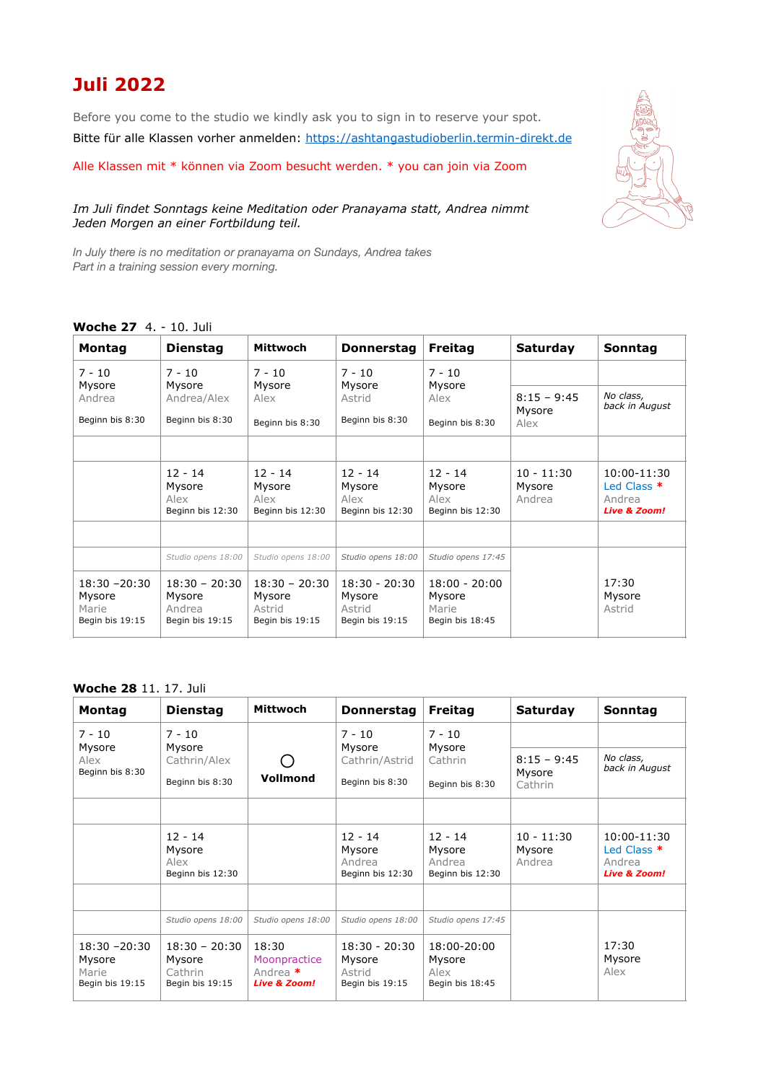## **Juli 2022**

Before you come to the studio we kindly ask you to sign in to reserve your spot. Bitte für alle Klassen vorher anmelden: <https://ashtangastudioberlin.termin-direkt.de>

Alle Klassen mit \* können via Zoom besucht werden. \* you can join via Zoom

## *Im Juli findet Sonntags keine Meditation oder Pranayama statt, Andrea nimmt Jeden Morgen an einer Fortbildung teil.*

*In July there is no meditation or pranayama on Sundays, Andrea takes Part in a training session every morning.*

## **Woche 27** 4. - 10. Juli

| <b>Montag</b>                                         | <b>Dienstag</b>                                        | Mittwoch                                               | <b>Donnerstag</b>                                      | <b>Freitag</b>                                        | <b>Saturday</b>                  | Sonntag                                                         |
|-------------------------------------------------------|--------------------------------------------------------|--------------------------------------------------------|--------------------------------------------------------|-------------------------------------------------------|----------------------------------|-----------------------------------------------------------------|
| $7 - 10$                                              | $7 - 10$                                               | $7 - 10$                                               | $7 - 10$                                               | $7 - 10$                                              |                                  |                                                                 |
| Mysore<br>Andrea                                      | Mysore<br>Andrea/Alex                                  | Mysore<br>Alex                                         | Mysore<br>Astrid                                       | Mysore<br>Alex                                        | $8:15 - 9:45$                    | No class,<br>back in August                                     |
| Beginn bis 8:30                                       | Beginn bis 8:30                                        | Beginn bis 8:30                                        | Beginn bis 8:30                                        | Beginn bis 8:30                                       | Mysore<br>Alex                   |                                                                 |
|                                                       |                                                        |                                                        |                                                        |                                                       |                                  |                                                                 |
|                                                       | $12 - 14$<br>Mysore<br>Alex<br>Beginn bis 12:30        | $12 - 14$<br>Mysore<br>Alex<br>Beginn bis 12:30        | $12 - 14$<br>Mysore<br>Alex<br>Beginn bis 12:30        | $12 - 14$<br>Mysore<br>Alex<br>Beginn bis 12:30       | $10 - 11:30$<br>Mysore<br>Andrea | 10:00-11:30<br>Led Class *<br>Andrea<br><b>Live &amp; Zoom!</b> |
|                                                       |                                                        |                                                        |                                                        |                                                       |                                  |                                                                 |
|                                                       | Studio opens 18:00                                     | Studio opens 18:00                                     | Studio opens 18:00                                     | Studio opens 17:45                                    |                                  |                                                                 |
| $18:30 - 20:30$<br>Mysore<br>Marie<br>Begin bis 19:15 | $18:30 - 20:30$<br>Mysore<br>Andrea<br>Begin bis 19:15 | $18:30 - 20:30$<br>Mysore<br>Astrid<br>Begin bis 19:15 | $18:30 - 20:30$<br>Mysore<br>Astrid<br>Begin bis 19:15 | $18:00 - 20:00$<br>Mysore<br>Marie<br>Begin bis 18:45 |                                  | 17:30<br>Mysore<br>Astrid                                       |

## **Woche 28** 11. 17. Juli

| <b>Montag</b>                                         | <b>Dienstag</b>                                         | Mittwoch                                                       | <b>Donnerstag</b>                                      | <b>Freitag</b>                                    | <b>Saturday</b>                  | Sonntag                                                         |
|-------------------------------------------------------|---------------------------------------------------------|----------------------------------------------------------------|--------------------------------------------------------|---------------------------------------------------|----------------------------------|-----------------------------------------------------------------|
| $7 - 10$<br>Mysore<br>Alex<br>Beginn bis 8:30         | $7 - 10$<br>Mysore                                      |                                                                | $7 - 10$<br>Mysore<br>Cathrin/Astrid                   | $7 - 10$<br>Mysore                                |                                  |                                                                 |
|                                                       | Cathrin/Alex                                            |                                                                |                                                        | Cathrin                                           | $8:15 - 9:45$                    | No class,<br>back in August                                     |
|                                                       | Beginn bis 8:30                                         | Vollmond                                                       | Beginn bis 8:30                                        | Beginn bis 8:30                                   | Mysore<br>Cathrin                |                                                                 |
|                                                       |                                                         |                                                                |                                                        |                                                   |                                  |                                                                 |
|                                                       | $12 - 14$<br>Mysore<br>Alex<br>Beginn bis 12:30         |                                                                | $12 - 14$<br>Mysore<br>Andrea<br>Beginn bis 12:30      | $12 - 14$<br>Mysore<br>Andrea<br>Beginn bis 12:30 | $10 - 11:30$<br>Mysore<br>Andrea | 10:00-11:30<br>Led Class *<br>Andrea<br><b>Live &amp; Zoom!</b> |
|                                                       |                                                         |                                                                |                                                        |                                                   |                                  |                                                                 |
|                                                       | Studio opens 18:00                                      | Studio opens 18:00                                             | Studio opens 18:00                                     | Studio opens 17:45                                |                                  |                                                                 |
| $18:30 - 20:30$<br>Mysore<br>Marie<br>Begin bis 19:15 | $18:30 - 20:30$<br>Mysore<br>Cathrin<br>Begin bis 19:15 | 18:30<br>Moonpractice<br>Andrea $*$<br><b>Live &amp; Zoom!</b> | $18:30 - 20:30$<br>Mysore<br>Astrid<br>Begin bis 19:15 | 18:00-20:00<br>Mysore<br>Alex<br>Begin bis 18:45  |                                  | 17:30<br>Mysore<br>Alex                                         |